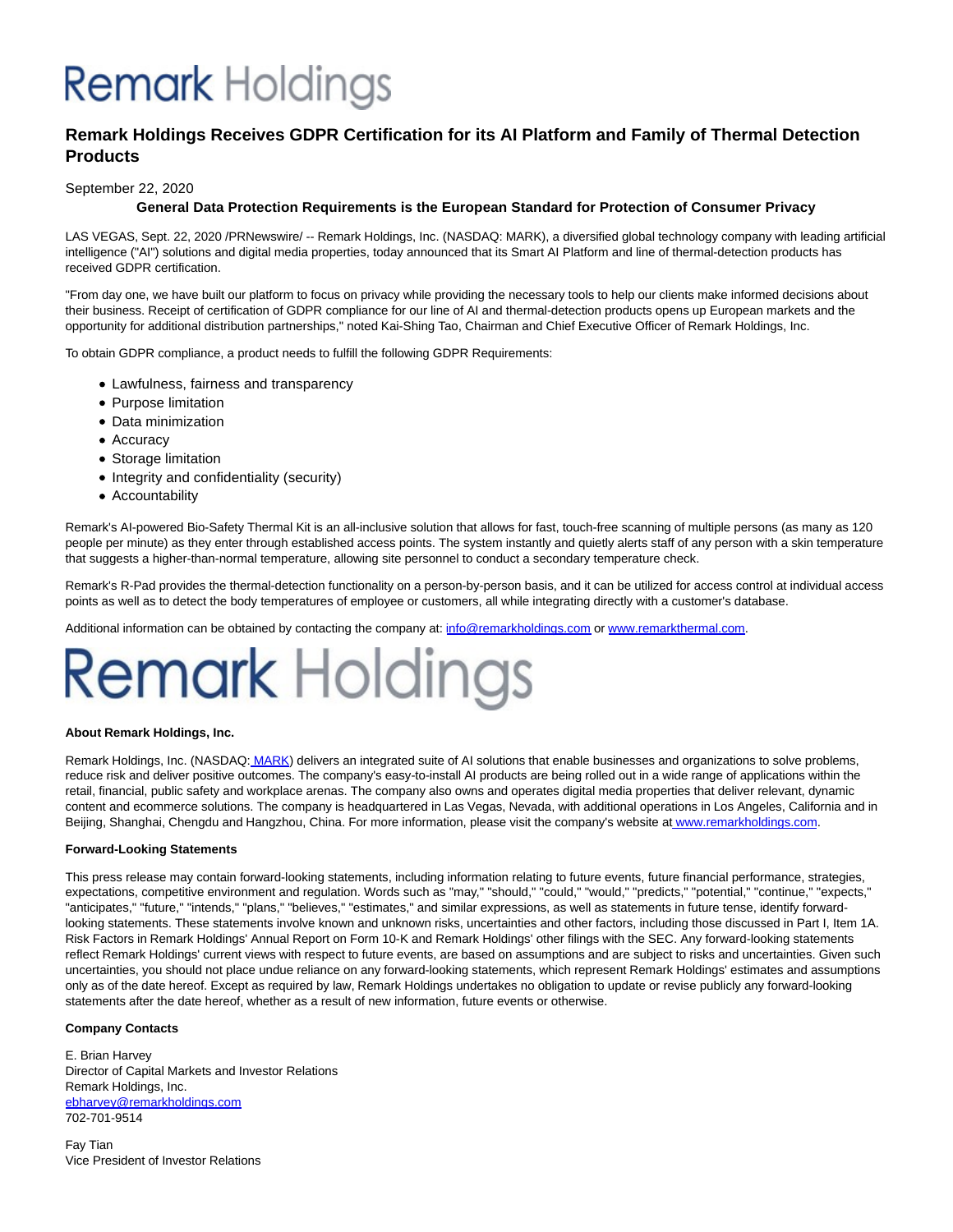## **Remark** Holdings

### **Remark Holdings Receives GDPR Certification for its AI Platform and Family of Thermal Detection Products**

### September 22, 2020

### **General Data Protection Requirements is the European Standard for Protection of Consumer Privacy**

LAS VEGAS, Sept. 22, 2020 /PRNewswire/ -- Remark Holdings, Inc. (NASDAQ: MARK), a diversified global technology company with leading artificial intelligence ("AI") solutions and digital media properties, today announced that its Smart AI Platform and line of thermal-detection products has received GDPR certification.

"From day one, we have built our platform to focus on privacy while providing the necessary tools to help our clients make informed decisions about their business. Receipt of certification of GDPR compliance for our line of AI and thermal-detection products opens up European markets and the opportunity for additional distribution partnerships," noted Kai-Shing Tao, Chairman and Chief Executive Officer of Remark Holdings, Inc.

To obtain GDPR compliance, a product needs to fulfill the following GDPR Requirements:

- Lawfulness, fairness and transparency
- Purpose limitation
- Data minimization
- Accuracy
- Storage limitation
- Integrity and confidentiality (security)
- Accountability

Remark's AI-powered Bio-Safety Thermal Kit is an all-inclusive solution that allows for fast, touch-free scanning of multiple persons (as many as 120 people per minute) as they enter through established access points. The system instantly and quietly alerts staff of any person with a skin temperature that suggests a higher-than-normal temperature, allowing site personnel to conduct a secondary temperature check.

Remark's R-Pad provides the thermal-detection functionality on a person-by-person basis, and it can be utilized for access control at individual access points as well as to detect the body temperatures of employee or customers, all while integrating directly with a customer's database.

Additional information can be obtained by contacting the company at: [info@remarkholdings.com o](mailto:info@remarkholdings.com)r www.remarkthermal.com.

# **Remark Holdings**

### **About Remark Holdings, Inc.**

Remark Holdings, Inc. (NASDAQ[: MARK\)](https://c212.net/c/link/?t=0&l=en&o=2924869-1&h=2860290896&u=http%3A%2F%2Fremarkholdings.com%2F&a=%C2%A0MARK) delivers an integrated suite of AI solutions that enable businesses and organizations to solve problems, reduce risk and deliver positive outcomes. The company's easy-to-install AI products are being rolled out in a wide range of applications within the retail, financial, public safety and workplace arenas. The company also owns and operates digital media properties that deliver relevant, dynamic content and ecommerce solutions. The company is headquartered in Las Vegas, Nevada, with additional operations in Los Angeles, California and in Beijing, Shanghai, Chengdu and Hangzhou, China. For more information, please visit the company's website [at www.remarkholdings.com.](https://c212.net/c/link/?t=0&l=en&o=2924869-1&h=321733666&u=http%3A%2F%2Fwww.remarkholdings.com%2F&a=%C2%A0www.remarkholdings.com)

### **Forward-Looking Statements**

This press release may contain forward-looking statements, including information relating to future events, future financial performance, strategies, expectations, competitive environment and regulation. Words such as "may," "should," "could," "would," "predicts," "potential," "continue," "expects," "anticipates," "future," "intends," "plans," "believes," "estimates," and similar expressions, as well as statements in future tense, identify forwardlooking statements. These statements involve known and unknown risks, uncertainties and other factors, including those discussed in Part I, Item 1A. Risk Factors in Remark Holdings' Annual Report on Form 10-K and Remark Holdings' other filings with the SEC. Any forward-looking statements reflect Remark Holdings' current views with respect to future events, are based on assumptions and are subject to risks and uncertainties. Given such uncertainties, you should not place undue reliance on any forward-looking statements, which represent Remark Holdings' estimates and assumptions only as of the date hereof. Except as required by law, Remark Holdings undertakes no obligation to update or revise publicly any forward-looking statements after the date hereof, whether as a result of new information, future events or otherwise.

### **Company Contacts**

E. Brian Harvey Director of Capital Markets and Investor Relations Remark Holdings, Inc. [ebharvey@remarkholdings.com](mailto:ebharvey@remarkholdings.com) 702-701-9514

Fay Tian Vice President of Investor Relations